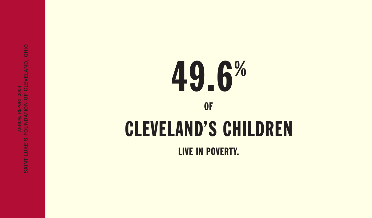# 49.6 %

### OF

## CLEVELAND'S CHILDREN

LIVE IN POVERTY.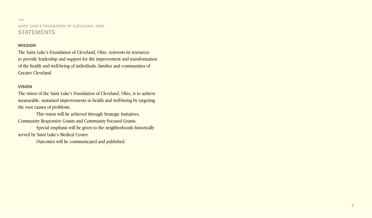2004 SAINT LUKE'S FOUNDATION OF CLEVELAND, OHIO **STATEMENTS** 

#### MISSION

The Saint Luke's Foundation of Cleveland, Ohio, reinvests its resources to provide leadership and support for the improvement and transformation of the health and well-being of individuals, families and communities of Greater Cleveland.

#### VISION

The vision of the Saint Luke's Foundation of Cleveland, Ohio, is to achieve measurable, sustained improvements in health and well-being by targeting the root causes of problems.

This vision will be achieved through Strategic Initiatives, Community Responsive Grants and Community Focused Grants.

Special emphasis will be given to the neighborhoods historically served by Saint Luke's Medical Center.

Outcomes will be communicated and published.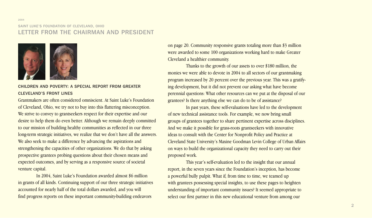#### SAINT LUKE'S FOUNDATION OF CLEVELAND, OHIO LETTER FROM THE CHAIRMAN AND PRESIDENT



#### CHILDREN AND POVERTY: A SPECIAL REPORT FROM GREATER CLEVELAND'S FRONT LINES

Grantmakers are often considered omniscient. At Saint Luke's Foundation of Cleveland, Ohio, we try not to buy into this flattering misconception. We strive to convey to grantseekers respect for their expertise and our desire to help them do even better. Although we remain deeply committed to our mission of building healthy communities as reflected in our three long-term strategic initiatives, we realize that we don't have all the answers. We also seek to make a difference by advancing the aspirations and strengthening the capacities of other organizations. We do that by asking prospective grantees probing questions about their chosen means and expected outcomes, and by serving as a responsive source of societal venture capital.

In 2004, Saint Luke's Foundation awarded almost \$6 million in grants of all kinds. Continuing support of our three strategic initiatives accounted for nearly half of the total dollars awarded, and you will find progress reports on these important community-building endeavors

on page 20. Community responsive grants totaling more than \$3 million were awarded to some 100 organizations working hard to make Greater Cleveland a healthier community.

Thanks to the growth of our assets to over \$180 million, the monies we were able to devote in 2004 to all sectors of our grantmaking program increased by 20 percent over the previous year. This was a gratifying development, but it did not prevent our asking what have become perennial questions: What other resources can we put at the disposal of our grantees? Is there anything else we can do to be of assistance?

In past years, these self-evaluations have led to the development of new technical assistance tools. For example, we now bring small groups of grantees together to share pertinent expertise across disciplines. And we make it possible for grass-roots grantseekers with innovative ideas to consult with the Center for Nonprofit Policy and Practice at Cleveland State University's Maxine Goodman Levin College of Urban Affairs on ways to build the organizational capacity they need to carry out their proposed work.

This year's self-evaluation led to the insight that our annual report, in the seven years since the Foundation's inception, has become a powerful bully pulpit. What if, from time to time, we teamed up with grantees possessing special insights, to use these pages to heighten understanding of important community issues? It seemed appropriate to select our first partner in this new educational venture from among our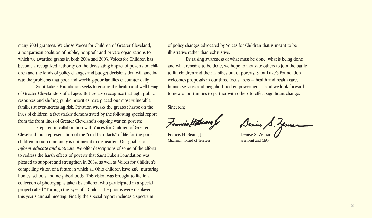many 2004 grantees. We chose Voices for Children of Greater Cleveland, a nonpartisan coalition of public, nonprofit and private organizations to which we awarded grants in both 2004 and 2003. Voices for Children has become a recognized authority on the devastating impact of poverty on children and the kinds of policy changes and budget decisions that will ameliorate the problems that poor and working-poor families encounter daily.

Saint Luke's Foundation seeks to ensure the health and well-being of Greater Clevelanders of all ages. But we also recognize that tight public resources and shifting public priorities have placed our most vulnerable families at ever-increasing risk. Privation wreaks the greatest havoc on the lives of children, a fact starkly demonstrated by the following special report from the front lines of Greater Cleveland's ongoing war on poverty.

Prepared in collaboration with Voices for Children of Greater Cleveland, our representation of the "cold hard facts" of life for the poor children in our community is not meant to dishearten. Our goal is to *inform, educate and motivate*. We offer descriptions of some of the efforts to redress the harsh effects of poverty that Saint Luke's Foundation was pleased to support and strengthen in 2004, as well as Voices for Children's compelling vision of a future in which all Ohio children have safe, nurturing homes, schools and neighborhoods. This vision was brought to life in a collection of photographs taken by children who participated in a special project called "Through the Eyes of a Child." The photos were displayed at this year's annual meeting. Finally, the special report includes a spectrum

of policy changes advocated by Voices for Children that is meant to be illustrative rather than exhaustive.

By raising awareness of what must be done, what is being done and what remains to be done, we hope to motivate others to join the battle to lift children and their families out of poverty. Saint Luke's Foundation welcomes proposals in our three focus areas — health and health care, human services and neighborhood empowerment — and we look forward to new opportunities to partner with others to effect significant change.

Sincerely,

Fennais

Chairman, Board of Trustees President and CEO

Francis H. Beam, Jr. Denise S. Zeman / S. Jema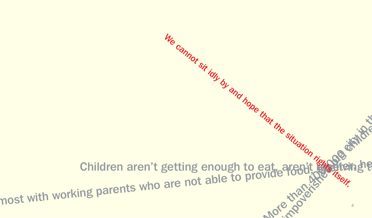Children aren't getting enough to eat, aren't receive the Children aren't getting enough to eat, aren't setting<br>most with working parents who are not able to provide food, keep har the situation rise detail of the We cannot sit idly by and hope that the situation right of and the situation right of the situation right of the situation right of the situation right of the situation right of the situation right of the situation right o 4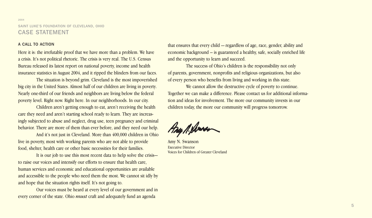#### 2004 SAINT LUKE'S FOUNDATION OF CLEVELAND, OHIO CASE STATEMENT

#### A CALL TO ACTION

Here it is: the irrefutable proof that we have more than a problem. We have a crisis. It's not political rhetoric. The crisis is very real. The U.S. Census Bureau released its latest report on national poverty, income and health insurance statistics in August 2004, and it ripped the blinders from our faces.

The situation is beyond grim. Cleveland is the most impoverished big city in the United States. Almost half of our children are living in poverty. Nearly one-third of our friends and neighbors are living below the federal poverty level. Right now. Right here. In our neighborhoods. In our city.

Children aren't getting enough to eat, aren't receiving the health care they need and aren't starting school ready to learn. They are increasingly subjected to abuse and neglect, drug use, teen pregnancy and criminal behavior. There are more of them than ever before, and they need our help.

And it's not just in Cleveland. More than 400,000 children in Ohio live in poverty, most with working parents who are not able to provide food, shelter, health care or other basic necessities for their families.

It is our job to use this most recent data to help solve the crisis to raise our voices and intensify our efforts to ensure that health care, human services and economic and educational opportunities are available and accessible to the people who need them the most. We cannot sit idly by and hope that the situation rights itself. It's not going to.

Our voices must be heard at every level of our government and in every corner of the state. Ohio *must* craft and adequately fund an agenda

that ensures that every child — regardless of age, race, gender, ability and economic background – is guaranteed a healthy, safe, socially enriched life and the opportunity to learn and succeed.

The success of Ohio's children is the responsibility not only of parents, government, nonprofits and religious organizations, but also of every person who benefits from living and working in this state.

We cannot allow the destructive cycle of poverty to continue. Together we can make a difference. Please contact us for additional information and ideas for involvement. The more our community invests in our children today, the more our community will progress tomorrow.

Any Millenen

Amy N. Swanson Executive Director Voices for Children of Greater Cleveland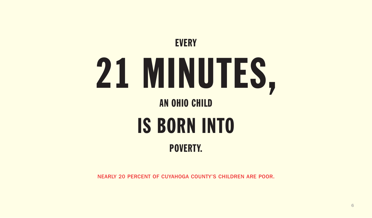

NEARLY 20 PERCENT OF CUYAHOGA COUNTY'S CHILDREN ARE POOR.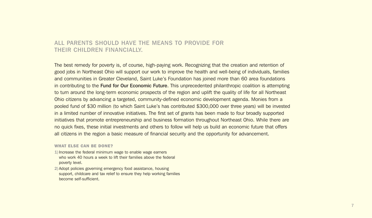#### ALL PARENTS SHOULD HAVE THE MEANS TO PROVIDE FOR THEIR CHILDREN FINANCIALLY.

The best remedy for poverty is, of course, high-paying work. Recognizing that the creation and retention of good jobs in Northeast Ohio will support our work to improve the health and well-being of individuals, families and communities in Greater Cleveland, Saint Luke's Foundation has joined more than 60 area foundations in contributing to the **Fund for Our Economic Future.** This unprecedented philanthropic coalition is attempting to turn around the long-term economic prospects of the region and uplift the quality of life for all Northeast Ohio citizens by advancing a targeted, community-defined economic development agenda. Monies from a pooled fund of \$30 million (to which Saint Luke's has contributed \$300,000 over three years) will be invested in a limited number of innovative initiatives. The first set of grants has been made to four broadly supported initiatives that promote entrepreneurship and business formation throughout Northeast Ohio. While there are no quick fixes, these initial investments and others to follow will help us build an economic future that offers all citizens in the region a basic measure of financial security and the opportunity for advancement.

#### **WHAT ELSE CAN BE DONE?**

- **1)**Increase the federal minimum wage to enable wage earners who work 40 hours a week to lift their families above the federal poverty level.
- **2)**Adopt policies governing emergency food assistance, housing support, childcare and tax relief to ensure they help working families become self-sufficient.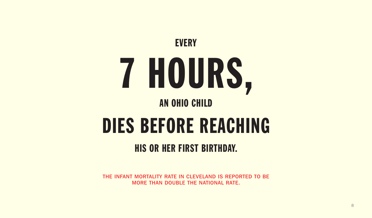

## DIES BEFORE REACHING

### HIS OR HER FIRST BIRTHDAY.

THE INFANT MORTALITY RATE IN CLEVELAND IS REPORTED TO BE MORE THAN DOUBLE THE NATIONAL RATE.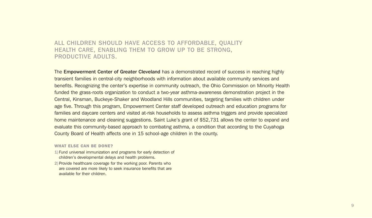#### ALL CHILDREN SHOULD HAVE ACCESS TO AFFORDABLE, QUALITY HEALTH CARE, ENABLING THEM TO GROW UP TO BE STRONG, PRODUCTIVE ADULTS.

The **Empowerment Center of Greater Cleveland** has a demonstrated record of success in reaching highly transient families in central-city neighborhoods with information about available community services and benefits. Recognizing the center's expertise in community outreach, the Ohio Commission on Minority Health funded the grass-roots organization to conduct a two-year asthma-awareness demonstration project in the Central, Kinsman, Buckeye-Shaker and Woodland Hills communities, targeting families with children under age five. Through this program, Empowerment Center staff developed outreach and education programs for families and daycare centers and visited at-risk households to assess asthma triggers and provide specialized home maintenance and cleaning suggestions. Saint Luke's grant of \$52,731 allows the center to expand and evaluate this community-based approach to combating asthma, a condition that according to the Cuyahoga County Board of Health affects one in 15 school-age children in the county.

#### **WHAT ELSE CAN BE DONE?**

- **1)** Fund universal immunization and programs for early detection of children's developmental delays and health problems.
- **2)**Provide healthcare coverage for the working poor. Parents who are covered are more likely to seek insurance benefits that are available for their children.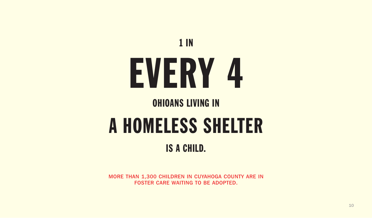

### OHIOANS LIVING IN

## A HOMELESS SHELTER

### IS A CHILD.

MORE THAN 1,300 CHILDREN IN CUYAHOGA COUNTY ARE IN FOSTER CARE WAITING TO BE ADOPTED.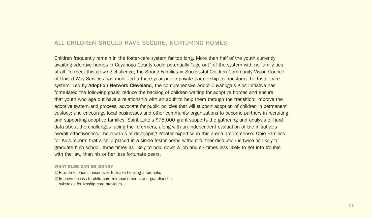#### ALL CHILDREN SHOULD HAVE SECURE, NURTURING HOMES.

Children frequently remain in the foster-care system far too long. More than half of the youth currently awaiting adoptive homes in Cuyahoga County could potentially "age out" of the system with no family ties at all. To meet this growing challenge, the Strong Families = Successful Children Community Vision Council of United Way Services has mobilized a three-year public-private partnership to transform the foster-care system. Led by Adoption Network Cleveland, the comprehensive Adopt Cuyahoga's Kids Initiative has formulated the following goals: reduce the backlog of children waiting for adoptive homes and ensure that youth who age out have a relationship with an adult to help them through the transition; improve the adoptive system and process; advocate for public policies that will support adoption of children in permanent custody; and encourage local businesses and other community organizations to become partners in recruiting and supporting adoptive families. Saint Luke's \$75,000 grant supports the gathering and analysis of hard data about the challenges facing the reformers, along with an independent evaluation of the initiative's overall effectiveness. The rewards of developing greater expertise in this arena are immense. Ohio Families for Kids reports that a child placed in a single foster home without further disruption is twice as likely to graduate high school, three times as likely to hold down a job and six times less likely to get into trouble with the law, than his or her less fortunate peers.

#### **WHAT ELSE CAN BE DONE?**

- **1)**Provide economic incentives to make housing affordable.
- **2)**Improve access to child-care reimbursements and guardianship subsidies for kinship-care providers.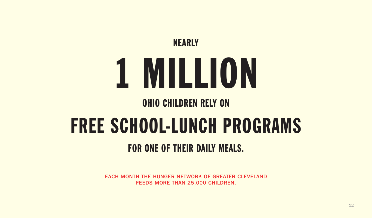## NEARLY 1 MILLION

### OHIO CHILDREN RELY ON

## FREE SCHOOL-LUNCH PROGRAMS

### FOR ONE OF THEIR DAILY MEALS.

EACH MONTH THE HUNGER NETWORK OF GREATER CLEVELAND FEEDS MORE THAN 25,000 CHILDREN.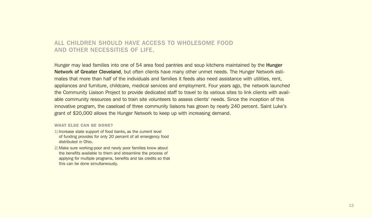#### ALL CHILDREN SHOULD HAVE ACCESS TO WHOLESOME FOOD AND OTHER NECESSITIES OF LIFE.

Hunger may lead families into one of 54 area food pantries and soup kitchens maintained by the **Hunger** Network of Greater Cleveland, but often clients have many other unmet needs. The Hunger Network estimates that more than half of the individuals and families it feeds also need assistance with utilities, rent, appliances and furniture, childcare, medical services and employment. Four years ago, the network launched the Community Liaison Project to provide dedicated staff to travel to its various sites to link clients with available community resources and to train site volunteers to assess clients' needs. Since the inception of this innovative program, the caseload of three community liaisons has grown by nearly 240 percent. Saint Luke's grant of \$20,000 allows the Hunger Network to keep up with increasing demand.

#### **WHAT ELSE CAN BE DONE?**

- **1)**Increase state support of food banks, as the current level of funding provides for only 20 percent of all emergency food distributed in Ohio.
- **2)**Make sure working-poor and newly poor families know about the benefits available to them and streamline the process of applying for multiple programs, benefits and tax credits so that this can be done simultaneously.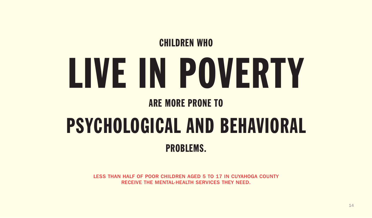## CHILDREN WHO LIVE IN POVERTY

### ARE MORE PRONE TO

## PSYCHOLOGICAL AND BEHAVIORAL PROBLEMS.

LESS THAN HALF OF POOR CHILDREN AGED 5 TO 17 IN CUYAHOGA COUNTY RECEIVE THE MENTAL-HEALTH SERVICES THEY NEED.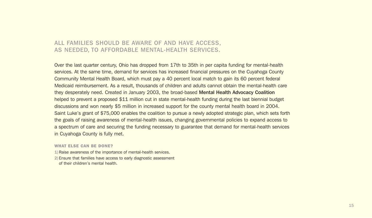#### ALL FAMILIES SHOULD BE AWARE OF AND HAVE ACCESS, AS NEEDED, TO AFFORDABLE MENTAL-HEALTH SERVICES.

Over the last quarter century, Ohio has dropped from 17th to 35th in per capita funding for mental-health services. At the same time, demand for services has increased financial pressures on the Cuyahoga County Community Mental Health Board, which must pay a 40 percent local match to gain its 60 percent federal Medicaid reimbursement. As a result, thousands of children and adults cannot obtain the mental-health care they desperately need. Created in January 2003, the broad-based Mental Health Advocacy Coalition helped to prevent a proposed \$11 million cut in state mental-health funding during the last biennial budget discussions and won nearly \$5 million in increased support for the county mental health board in 2004. Saint Luke's grant of \$75,000 enables the coalition to pursue a newly adopted strategic plan, which sets forth the goals of raising awareness of mental-health issues, changing governmental policies to expand access to a spectrum of care and securing the funding necessary to guarantee that demand for mental-health services in Cuyahoga County is fully met.

#### **WHAT ELSE CAN BE DONE?**

- **1)**Raise awareness of the importance of mental-health services.
- **2)**Ensure that families have access to early diagnostic assessment of their children's mental health.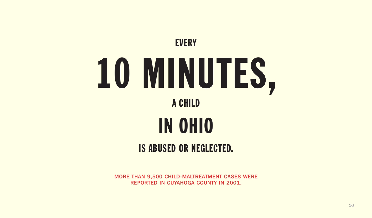## **EVERY** 10 MINUTES, A CHILD IN OHIO IS ABUSED OR NEGLECTED.

MORE THAN 9,500 CHILD-MALTREATMENT CASES WERE REPORTED IN CUYAHOGA COUNTY IN 2001.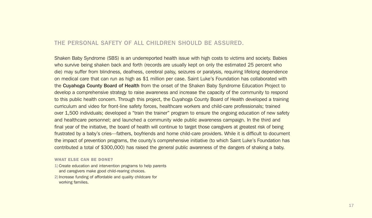#### THE PERSONAL SAFETY OF ALL CHILDREN SHOULD BE ASSURED.

Shaken Baby Syndrome (SBS) is an underreported health issue with high costs to victims and society. Babies who survive being shaken back and forth (records are usually kept on only the estimated 25 percent who die) may suffer from blindness, deafness, cerebral palsy, seizures or paralysis, requiring lifelong dependence on medical care that can run as high as \$1 million per case. Saint Luke's Foundation has collaborated with the Cuyahoga County Board of Health from the onset of the Shaken Baby Syndrome Education Project to develop a comprehensive strategy to raise awareness and increase the capacity of the community to respond to this public health concern. Through this project, the Cuyahoga County Board of Health developed a training curriculum and video for front-line safety forces, healthcare workers and child-care professionals; trained over 1,500 individuals; developed a "train the trainer" program to ensure the ongoing education of new safety and healthcare personnel; and launched a community wide public awareness campaign. In the third and final year of the initiative, the board of health will continue to target those caregivers at greatest risk of being frustrated by a baby's cries—fathers, boyfriends and home child-care providers. While it is difficult to document the impact of prevention programs, the county's comprehensive initiative (to which Saint Luke's Foundation has contributed a total of \$300,000) has raised the general public awareness of the dangers of shaking a baby.

#### **WHAT ELSE CAN BE DONE?**

- **1)**Create education and intervention programs to help parents and caregivers make good child-rearing choices.
- **2)**Increase funding of affordable and quality childcare for working families.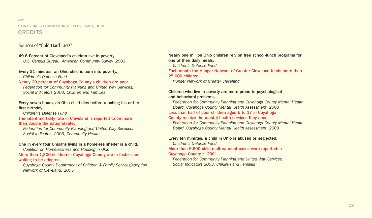#### 2004 SAINT LUKE'S FOUNDATION OF CLEVELAND, OHIO **CREDITS**

#### Sources of "Cold Hard Facts"

#### 49.6 Percent of Cleveland's children live in poverty.

*U.S. Census Bureau, American Community Survey, 2003*

#### Every 21 minutes, an Ohio child is born into poverty.

*Children's Defense Fund*

#### Nearly 20 percent of Cuyahoga County's children are poor.

*Federation for Community Planning and United Way Services, Social Indicators 2003, Children and Families*

#### Every seven hours, an Ohio child dies before reaching his or her first birthday.

*Children's Defense Fund*

#### The infant mortality rate in Cleveland is reported to be more than double the national rate.

*Federation for Community Planning and United Way Services, Social Indicators 2003, Community Health*

#### One in every four Ohioans living in a homeless shelter is a child.

*Coalition on Homelessness and Housing in Ohio*

More than 1,300 children in Cuyahoga County are in foster care waiting to be adopted.

*Cuyahoga County Department of Children & Family Services/Adoption Network of Cleveland, 2005*

Nearly one million Ohio children rely on free school-lunch programs for one of their daily meals.

*Children's Defense Fund*

#### Each month the Hunger Network of Greater Cleveland feeds more than 25,000 children.

*Hunger Network of Greater Cleveland*

#### Children who live in poverty are more prone to psychological and behavioral problems.

*Federation for Community Planning and Cuyahoga County Mental Health Board, Cuyahoga County Mental Health Assessment, 2003*

#### Less than half of poor children aged 5 to 17 in Cuyahoga

#### County receive the mental-health services they need.

*Federation for Community Planning and Cuyahoga County Mental Health Board, Cuyahoga County Mental Health Assessment, 2003*

#### Every ten minutes, a child in Ohio is abused or neglected.

*Children's Defense Fund*

#### More than 9,500 child-maltreatment cases were reported in

#### Cuyahoga County in 2001.

*Federation for Community Planning and United Way Services, Social Indicators 2003, Children and Families*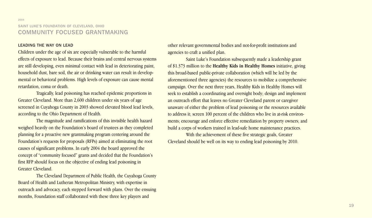#### SAINT LUKE'S FOUNDATION OF CLEVELAND, OHIO COMMUNITY FOCUSED GRANTMAKING

#### LEADING THE WAY ON LEAD

Children under the age of six are especially vulnerable to the harmful effects of exposure to lead. Because their brains and central nervous systems are still developing, even minimal contact with lead in deteriorating paint, household dust, bare soil, the air or drinking water can result in developmental or behavioral problems. High levels of exposure can cause mental retardation, coma or death.

Tragically, lead poisoning has reached epidemic proportions in Greater Cleveland. More than 2,600 children under six years of age screened in Cuyahoga County in 2003 showed elevated blood lead levels, according to the Ohio Department of Health.

The magnitude and ramifications of this invisible health hazard weighed heavily on the Foundation's board of trustees as they completed planning for a proactive new grantmaking program centering around the Foundation's requests for proposals (RFPs) aimed at eliminating the root causes of significant problems. In early 2004 the board approved the concept of "community focused" grants and decided that the Foundation's first RFP should focus on the objective of ending lead poisoning in Greater Cleveland.

The Cleveland Department of Public Health, the Cuyahoga County Board of Health and Lutheran Metropolitan Ministry, with expertise in outreach and advocacy, each stepped forward with plans. Over the ensuing months, Foundation staff collaborated with these three key players and

other relevant governmental bodies and not-for-profit institutions and agencies to craft a unified plan.

Saint Luke's Foundation subsequently made a leadership grant of \$1.373 million to the **Healthy Kids in Healthy Homes** initiative, giving this broad-based public-private collaboration (which will be led by the aforementioned three agencies) the resources to mobilize a comprehensive campaign. Over the next three years, Healthy Kids in Healthy Homes will seek to establish a coordinating and oversight body; design and implement an outreach effort that leaves no Greater Cleveland parent or caregiver unaware of either the problem of lead poisoning or the resources available to address it; screen 100 percent of the children who live in at-risk environments; encourage and enforce effective remediation by property owners; and build a corps of workers trained in lead-safe home maintenance practices.

With the achievement of these five strategic goals, Greater Cleveland should be well on its way to ending lead poisoning by 2010.

2004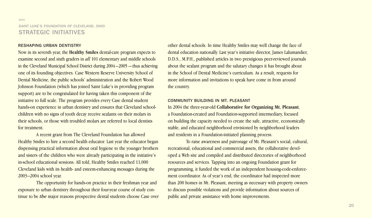#### SAINT LUKE'S FOUNDATION OF CLEVELAND, OHIO STRATEGIC INITIATIVES

#### RESHAPING URBAN DENTISTRY

2004

Now in its seventh year, the **Healthy Smiles** dental-care program expects to examine second and sixth graders in *all* 101 elementary and middle schools in the Cleveland Municipal School District during 2004 –2005 — thus achieving one of its founding objectives. Case Western Reserve University School of Dental Medicine, the public schools' administration and the Robert Wood Johnson Foundation (which has joined Saint Luke's in providing program support) are to be congratulated for having taken this component of the initiative to full scale. The program provides every Case dental student hands-on experience in urban dentistry and ensures that Cleveland schoolchildren with no signs of tooth decay receive sealants on their molars in their schools, or those with troubled molars are referred to local dentists for treatment.

A recent grant from The Cleveland Foundation has allowed Healthy Smiles to hire a second health educator. Last year the educator began dispensing practical information about oral hygiene to the younger brothers and sisters of the children who were already participating in the initiative's in-school educational sessions. All told, Healthy Smiles reached 11,000 Cleveland kids with its health- and esteem-enhancing messages during the 2003–2004 school year.

The opportunity for hands-on practice in their freshman year and exposure to urban dentistry throughout their four-year course of study continue to be *the* major reasons prospective dental students choose Case over other dental schools. In time Healthy Smiles may well change the face of dental education nationally. Last year's initiative director, James Lalumandier, D.D.S., M.P.H., published articles in two prestigious peer-reviewed journals about the sealant program and the salutary changes it has brought about in the School of Dental Medicine's curriculum. As a result, requests for more information and invitations to speak have come in from around the country.

#### COMMUNITY BUILDING IN MT. PLEASANT

In 2004 the three-year-old **Collaborative for Organizing Mt. Pleasant**, a Foundation-created and Foundation-supported intermediary, focused on building the capacity needed to create the safe, attractive, economically stable, and educated neighborhood envisioned by neighborhood leaders and residents in a Foundation-initiated planning process.

To raise awareness and patronage of Mt. Pleasant's social, cultural, recreational, educational and commercial assets, the collaborative developed a Web site and compiled and distributed directories of neighborhood resources and services. Tapping into an ongoing Foundation grant for programming, it funded the work of an independent housing-code-enforcement coordinator. As of year's end, the coordinator had inspected more than 200 homes in Mt. Pleasant, meeting as necessary with property owners to discuss possible violations and provide information about sources of public and private assistance with home improvements.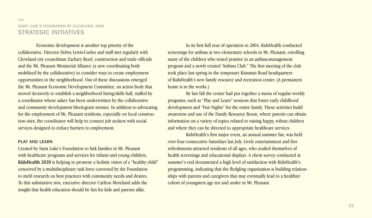#### 2004 SAINT LUKE'S FOUNDATION OF CLEVELAND, OHIO STRATEGIC INITIATIVES

Economic development is another top priority of the collaborative. Director Debra Lewis-Curlee and staff met regularly with Cleveland city councilman Zachary Reed, construction and trade officials and the Mt. Pleasant Ministerial Alliance (a new coordinating body mobilized by the collaborative) to consider ways to create employment opportunities in the neighborhood. Out of these discussions emerged the Mt. Pleasant Economic Development Committee, an action body that moved decisively to establish a neighborhood hiring/skills hall, staffed by a coordinator whose salary has been underwritten by the collaborative and community development block-grant monies. In addition to advocating for the employment of Mt. Pleasant residents, especially on local construction sites, the coordinator will help to connect job seekers with social services designed to reduce barriers to employment.

#### PLAY AND LEARN

Created by Saint Luke's Foundation to link families in Mt. Pleasant with healthcare programs and services for infants and young children, **KidsHealth 2020** is helping to promote a holistic vision of a "healthy child" conceived by a multidisciplinary task force convened by the Foundation to meld research on best practices with community needs and desires. To this substantive mix, executive director Carlton Moreland adds the insight that health education should be fun for kids and parents alike.

In its first full year of operation in 2004, KidsHealth conducted screenings for asthma at two elementary schools in Mt. Pleasant, enrolling many of the children who tested positive in an asthma-management program and a newly created "Asthma Club." The first meeting of the club took place last spring in the temporary Kinsman Road headquarters of KidsHealth's new family resource and recreation center. (A permanent home is in the works.)

By last fall the center had put together a menu of regular weekly programs, such as "Play and Learn" sessions that foster early childhood development and "Fun Nights" for the entire family. These activities build awareness and use of the Family Resource Room, where parents can obtain information on a variety of topics related to raising happy, robust children and where they can be directed to appropriate healthcare services.

KidsHealth's first major event, an annual summer fair, was held over four consecutive Saturdays last July. Lively entertainment and free refreshments attracted residents of all ages, who availed themselves of health screenings and educational displays. A client survey conducted at summer's end documented a high level of satisfaction with KidsHealth's programming, indicating that the fledgling organization is building relationships with parents and caregivers that may eventually lead to a healthier cohort of youngsters age ten and under in Mt. Pleasant.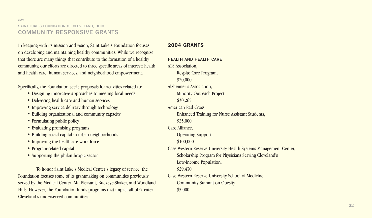2004

In keeping with its mission and vision, Saint Luke's Foundation focuses on developing and maintaining healthy communities. While we recognize that there are many things that contribute to the formation of a healthy community, our efforts are directed to three specific areas of interest: health and health care, human services, and neighborhood empowerment.

Specifically, the Foundation seeks proposals for activities related to:

- Designing innovative approaches to meeting local needs
- Delivering health care and human services
- Improving service delivery through technology
- Building organizational and community capacity
- Formulating public policy
- Evaluating promising programs
- Building social capital in urban neighborhoods
- Improving the healthcare work force
- Program-related capital
- Supporting the philanthropic sector

To honor Saint Luke's Medical Center's legacy of service, the Foundation focuses some of its grantmaking on communities previously served by the Medical Center: Mt. Pleasant, Buckeye-Shaker, and Woodland Hills. However, the Foundation funds programs that impact all of Greater Cleveland's underserved communities.

#### **2004 GRANTS**

HEALTH AND HEALTH CARE ALS Association, Respite Care Program, \$20,000 Alzheimer's Association, Minority Outreach Project, \$30,265 American Red Cross, Enhanced Training for Nurse Assistant Students, \$25,000 Care Alliance, Operating Support, \$100,000 Case Western Reserve University Health Systems Management Center, Scholarship Program for Physicians Serving Cleveland's Low-Income Population, \$29,430 Case Western Reserve University School of Medicine, Community Summit on Obesity, \$5,000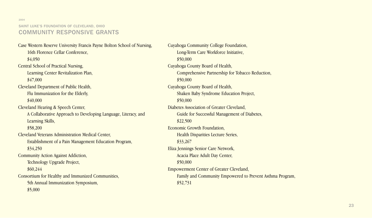2004

Case Western Reserve University Francis Payne Bolton School of Nursing, 16th Florence Cellar Conference, \$4,050 Central School of Practical Nursing, Learning Center Revitalization Plan, \$47,000 Cleveland Department of Public Health, Flu Immunization for the Elderly, \$40,000 Cleveland Hearing & Speech Center, A Collaborative Approach to Developing Language, Literacy, and Learning Skills, \$58,200 Cleveland Veterans Administration Medical Center, Establishment of a Pain Management Education Program, \$34,250 Community Action Against Addiction, Technology Upgrade Project, \$60,244 Consortium for Healthy and Immunized Communities, 5th Annual Immunization Symposium, \$5,000

Cuyahoga Community College Foundation, Long-Term Care Workforce Initiative, \$50,000 Cuyahoga County Board of Health, Comprehensive Partnership for Tobacco Reduction, \$50,000 Cuyahoga County Board of Health, Shaken Baby Syndrome Education Project, \$50,000 Diabetes Association of Greater Cleveland, Guide for Successful Management of Diabetes, \$22,500 Economic Growth Foundation, Health Disparities Lecture Series, \$33,267 Eliza Jennings Senior Care Network, Acacia Place Adult Day Center, \$50,000 Empowerment Center of Greater Cleveland, Family and Community Empowered to Prevent Asthma Program, \$52,731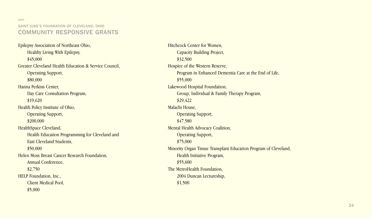2004

Epilepsy Association of Northeast Ohio, Healthy Living With Epilepsy, \$45,000 Greater Cleveland Health Education & Service Council, Operating Support, \$80,000 Hanna Perkins Center, Day Care Consultation Program, \$19,620 Health Policy Institute of Ohio, Operating Support, \$200,000 HealthSpace Cleveland, Health Education Programming for Cleveland and East Cleveland Students, \$50,000 Helen Moss Breast Cancer Research Foundation, Annual Conference, \$2,750 HELP Foundation, Inc., Client Medical Pool, \$5,000

Hitchcock Center for Women, Capacity Building Project, \$32,500 Hospice of the Western Reserve, Program in Enhanced Dementia Care at the End of Life, \$55,000 Lakewood Hospital Foundation, Group, Individual & Family Therapy Program, \$29,422 Malachi House, Operating Support, \$47,580 Mental Health Advocacy Coalition, Operating Support, \$75,000 Minority Organ Tissue Transplant Education Program of Cleveland, Health Initiative Program, \$55,600 The MetroHealth Foundation, 2004 Duncan Lectureship, \$1,500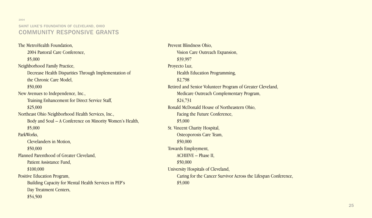2004

#### SAINT LUKE'S FOUNDATION OF CLEVELAND, OHIO COMMUNITY RESPONSIVE GRANTS

The MetroHealth Foundation, 2004 Pastoral Care Conference, \$5,000 Neighborhood Family Practice, Decrease Health Disparities Through Implementation of the Chronic Care Model, \$50,000 New Avenues to Independence, Inc., Training Enhancement for Direct Service Staff, \$25,000 Northeast Ohio Neighborhood Health Services, Inc., Body and Soul – A Conference on Minority Women's Health, \$5,000 ParkWorks, Clevelanders in Motion, \$50,000 Planned Parenthood of Greater Cleveland, Patient Assistance Fund, \$100,000 Positive Education Program, Building Capacity for Mental Health Services in PEP's Day Treatment Centers, \$54,500

Prevent Blindness Ohio, Vision Care Outreach Expansion, \$39,997 Proyecto Luz, Health Education Programming, \$2,798 Retired and Senior Volunteer Program of Greater Cleveland, Medicare Outreach Complementary Program, \$24,731 Ronald McDonald House of Northeastern Ohio, Facing the Future Conference, \$5,000 St. Vincent Charity Hospital, Osteoporosis Care Team, \$50,000 Towards Employment, ACHIEVE – Phase II, \$50,000 University Hospitals of Cleveland, Caring for the Cancer Survivor Across the Lifespan Conference, \$5,000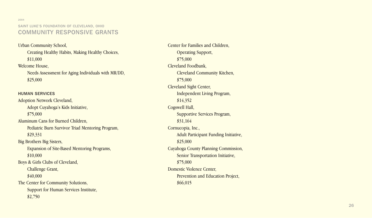2004

Urban Community School, Creating Healthy Habits, Making Healthy Choices, \$11,000 Welcome House, Needs Assessment for Aging Individuals with MR/DD, \$25,000

HUMAN SERVICES Adoption Network Cleveland, Adopt Cuyahoga's Kids Initiative, \$75,000 Aluminum Cans for Burned Children, Pediatric Burn Survivor Triad Mentoring Program, \$29,331 Big Brothers Big Sisters, Expansion of Site-Based Mentoring Programs, \$10,000 Boys & Girls Clubs of Cleveland, Challenge Grant, \$40,000 The Center for Community Solutions, Support for Human Services Institute, \$2,750

Center for Families and Children, Operating Support, \$75,000 Cleveland Foodbank, Cleveland Community Kitchen, \$75,000 Cleveland Sight Center, Independent Living Program, \$14,352 Cogswell Hall, Supportive Services Program, \$31,164 Cornucopia, Inc., Adult Participant Funding Initiative, \$25,000 Cuyahoga County Planning Commission, Senior Transportation Initiative, \$75,000 Domestic Violence Center, Prevention and Education Project, \$66,015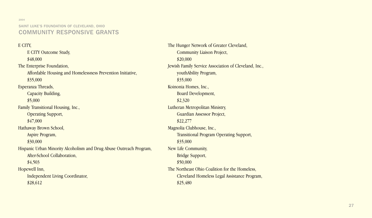2004

E CITY, E CITY Outcome Study, \$48,000 The Enterprise Foundation, Affordable Housing and Homelessness Prevention Initiative, \$35,000 Esperanza Threads, Capacity Building, \$5,000 Family Transitional Housing, Inc., Operating Support, \$47,000 Hathaway Brown School, Aspire Program, \$30,000 Hispanic Urban Minority Alcoholism and Drug Abuse Outreach Program, After-School Collaboration, \$4,503 Hopewell Inn, Independent Living Coordinator, \$28,612

The Hunger Network of Greater Cleveland, Community Liaison Project, \$20,000 Jewish Family Service Association of Cleveland, Inc., youthAbility Program, \$35,000 Koinonia Homes, Inc., Board Development, \$2,320 Lutheran Metropolitan Ministry, Guardian Assessor Project, \$22,277 Magnolia Clubhouse, Inc., Transitional Program Operating Support, \$35,000 New Life Community, Bridge Support, \$50,000 The Northeast Ohio Coalition for the Homeless, Cleveland Homeless Legal Assistance Program, \$25,480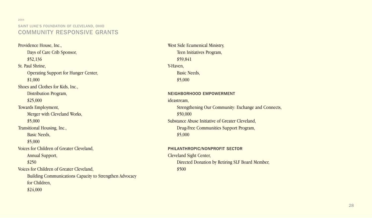2004

Providence House, Inc., Days of Care Crib Sponsor, \$52,136 St. Paul Shrine, Operating Support for Hunger Center, \$1,000 Shoes and Clothes for Kids, Inc., Distribution Program, \$25,000 Towards Employment, Merger with Cleveland Works, \$5,000 Transitional Housing, Inc., Basic Needs, \$5,000 Voices for Children of Greater Cleveland, Annual Support, \$250 Voices for Children of Greater Cleveland, Building Communications Capacity to Strengthen Advocacy for Children, \$24,000

West Side Ecumenical Ministry, Teen Initiatives Program, \$59,841 Y-Haven, Basic Needs, \$5,000 NEIGHBORHOOD EMPOWERMENT ideastream, Strengthening Our Community: Exchange and Connects, \$50,000 Substance Abuse Initiative of Greater Cleveland, Drug-Free Communities Support Program, \$5,000

PHILANTHROPIC/NONPROFIT SECTOR Cleveland Sight Center, Directed Donation by Retiring SLF Board Member, \$500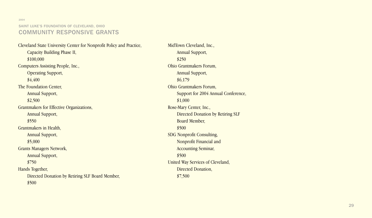2004

Cleveland State University Center for Nonprofit Policy and Practice, Capacity Building Phase II, \$100,000 Computers Assisting People, Inc., Operating Support, \$4,400 The Foundation Center, Annual Support, \$2,500 Grantmakers for Effective Organizations, Annual Support, \$550 Grantmakers in Health, Annual Support, \$5,000 Grants Managers Network, Annual Support, \$750 Hands Together, Directed Donation by Retiring SLF Board Member, \$500

MidTown Cleveland, Inc., Annual Support, \$250 Ohio Grantmakers Forum, Annual Support, \$6,179 Ohio Grantmakers Forum, Support for 2004 Annual Conference, \$1,000 Rose-Mary Center, Inc., Directed Donation by Retiring SLF Board Member, \$500 SDG Nonprofit Consulting, Nonprofit Financial and Accounting Seminar, \$500 United Way Services of Cleveland, Directed Donation, \$7,500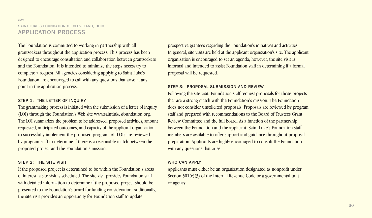#### 2004 SAINT LUKE'S FOUNDATION OF CLEVELAND, OHIO APPLICATION PROCESS

The Foundation is committed to working in partnership with all grantseekers throughout the application process. This process has been designed to encourage consultation and collaboration between grantseekers and the Foundation. It is intended to minimize the steps necessary to complete a request. All agencies considering applying to Saint Luke's Foundation are encouraged to call with any questions that arise at any point in the application process.

#### STEP 1: THE LETTER OF INQUIRY

The grantmaking process is initiated with the submission of a letter of inquiry (LOI) through the Foundation's Web site www.saintlukesfoundation.org. The LOI summarizes the problem to be addressed, proposed activities, amount requested, anticipated outcomes, and capacity of the applicant organization to successfully implement the proposed program. All LOIs are reviewed by program staff to determine if there is a reasonable match between the proposed project and the Foundation's mission.

#### STEP 2: THE SITE VISIT

If the proposed project is determined to be within the Foundation's areas of interest, a site visit is scheduled. The site visit provides Foundation staff with detailed information to determine if the proposed project should be presented to the Foundation's board for funding consideration. Additionally, the site visit provides an opportunity for Foundation staff to update

prospective grantees regarding the Foundation's initiatives and activities. In general, site visits are held at the applicant organization's site. The applicant organization is encouraged to set an agenda; however, the site visit is informal and intended to assist Foundation staff in determining if a formal proposal will be requested.

#### STEP 3: PROPOSAL SUBMISSION AND REVIEW

Following the site visit, Foundation staff request proposals for those projects that are a strong match with the Foundation's mission. The Foundation does not consider unsolicited proposals. Proposals are reviewed by program staff and prepared with recommendations to the Board of Trustees Grant Review Committee and the full board. As a function of the partnership between the Foundation and the applicant, Saint Luke's Foundation staff members are available to offer support and guidance throughout proposal preparation. Applicants are highly encouraged to consult the Foundation with any questions that arise.

#### WHO CAN APPLY

Applicants must either be an organization designated as nonprofit under Section 501(c)(3) of the Internal Revenue Code or a governmental unit or agency.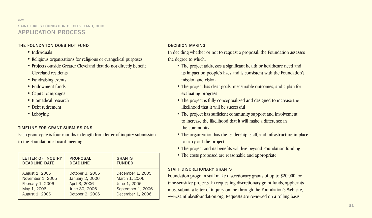#### 2004 SAINT LUKE'S FOUNDATION OF CLEVELAND, OHIO APPLICATION PROCESS

#### THE FOUNDATION DOES NOT FUND

- Individuals
- Religious organizations for religious or evangelical purposes
- Projects outside Greater Cleveland that do not directly benefit Cleveland residents
- Fundraising events
- Endowment funds
- Capital campaigns
- Biomedical research
- Debt retirement
- Lobbying

#### TIMELINE FOR GRANT SUBMISSIONS

Each grant cycle is four months in length from letter of inquiry submission to the Foundation's board meeting.

| <b>LETTER OF INQUIRY</b> | <b>PROPOSAL</b> | <b>GRANTS</b>     |
|--------------------------|-----------------|-------------------|
| <b>DEADLINE DATE</b>     | <b>DEADLINE</b> | <b>FUNDED</b>     |
| August 1, 2005           | October 3, 2005 | December 1, 2005  |
| November 1, 2005         | January 2, 2006 | March 1, 2006     |
| February 1, 2006         | April 3, 2006   | June 1, 2006      |
| May 1, 2006              | June 30, 2006   | September 1, 2006 |
| August 1, 2006           | October 2, 2006 | December 1, 2006  |

#### DECISION MAKING

In deciding whether or not to request a proposal, the Foundation assesses the degree to which:

- The project addresses a significant health or healthcare need and its impact on people's lives and is consistent with the Foundation's mission and vision
- The project has clear goals, measurable outcomes, and a plan for evaluating progress
- The project is fully conceptualized and designed to increase the likelihood that it will be successful
- The project has sufficient community support and involvement to increase the likelihood that it will make a difference in the community
- The organization has the leadership, staff, and infrastructure in place to carry out the project
- The project and its benefits will live beyond Foundation funding
- The costs proposed are reasonable and appropriate

#### STAFF DISCRETIONARY GRANTS

Foundation program staff make discretionary grants of up to \$20,000 for time-sensitive projects. In requesting discretionary grant funds, applicants must submit a letter of inquiry online through the Foundation's Web site, www.saintlukesfoundation.org. Requests are reviewed on a rolling basis.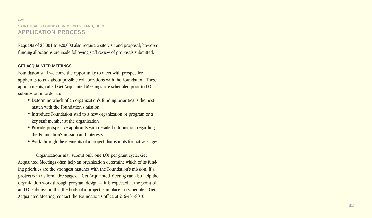#### 2004 SAINT LUKE'S FOUNDATION OF CLEVELAND, OHIO APPLICATION PROCESS

Requests of \$5,001 to \$20,000 also require a site visit and proposal; however, funding allocations are made following staff review of proposals submitted.

#### GET ACQUAINTED MEETINGS

Foundation staff welcome the opportunity to meet with prospective applicants to talk about possible collaborations with the Foundation. These appointments, called Get Acquainted Meetings, are scheduled prior to LOI submission in order to:<br>
• Determine which of an organization's funding priorities is the best

- match with the Foundation's mission
- Introduce Foundation staff to a new organization or program or a key staff member at the organization
- Provide prospective applicants with detailed information regarding the Foundation's mission and interests
- Work through the elements of a project that is in its formative stages

Organizations may submit only one LOI per grant cycle. Get Acquainted Meetings often help an organization determine which of its funding priorities are the strongest matches with the Foundation's mission. If a project is in its formative stages, a Get Acquainted Meeting can also help the organization work through program design — it is expected at the point of an LOI submission that the body of a project is in place. To schedule a Get Acquainted Meeting, contact the Foundation's office at 216-431-8010.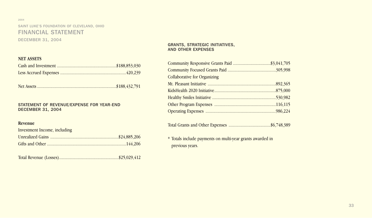#### 2004 SAINT LUKE'S FOUNDATION OF CLEVELAND, OHIO FINANCIAL STATEMENT DECEMBER 31, 2004

#### **NET ASSETS**

Net Assets ........................................................................\$188,432,791

#### STATEMENT OF REVENUE/EXPENSE FOR YEAR-END DECEMBER 31, 2004

#### **Revenue**

| Investment Income, including |  |
|------------------------------|--|
|                              |  |
|                              |  |

Total Revenue (Losses)......................................................\$25,029,412

#### GRANTS, STRATEGIC INITIATIVES, AND OTHER EXPENSES

| <b>Collaborative for Organizing</b> |  |
|-------------------------------------|--|
|                                     |  |
|                                     |  |
|                                     |  |
|                                     |  |
|                                     |  |

|--|--|--|--|--|

\* Totals include payments on multi-year grants awarded in previous years.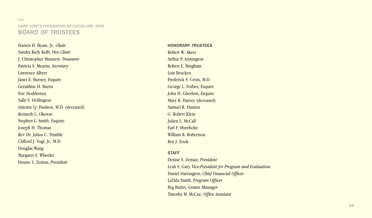#### 2004 SAINT LUKE'S FOUNDATION OF CLEVELAND, OHIO BOARD OF TRUSTEES

Francis H. Beam, Jr., *Chair* Sandra Kiely Kolb, *Vice Chair* J. Christopher Manners, *Treasurer* Patricia S. Mearns, *Secretary* Lawrence Albert Janet E. Burney, Esquire Geraldine H. Burns Eric Hoddersen Sally S. Hollington Antoine Q. Hudson, M.D. (deceased) Kenneth L. Okeson Stephen L. Smith, Esquire Joseph H. Thomas Rev. Dr. Julius C. Trimble Clifford J. Vogt, Jr., M.D. Douglas Wang Margaret S. Wheeler Denise S. Zeman, *President*

HONORARY TRUSTEES Robert W. Akers Arthur P. Armington Robert E. Bingham Lois Brucken Frederick S. Cross, M.D. George L. Forbes, Esquire John H. Gherlein, Esquire Mary B. Harvey (deceased) Samuel R . Huston G. Robert Klein Julien L. McCall Earl F. Myerholtz William R. Robertson Roy J. Zook

#### **STAFF**

Denise S. Zeman, *President* Leah S. Gary, *Vice-President for Program and Evaluation* Daniel Harrington, *Chief Financial Officer* LaTida Smith, *Program Officer* Peg Butler, *Grants Manager* Timothy M. McCue, *Office Assistant*